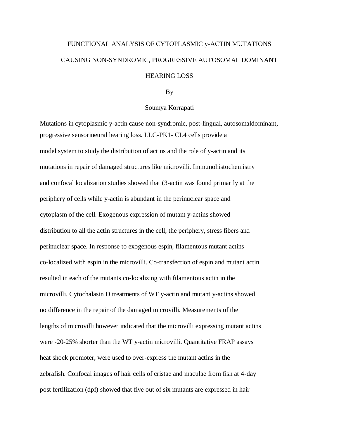## FUNCTIONAL ANALYSIS OF CYTOPLASMIC y-ACTIN MUTATIONS CAUSING NON-SYNDROMIC, PROGRESSIVE AUTOSOMAL DOMINANT

## HEARING LOSS

## By

## Soumya Korrapati

Mutations in cytoplasmic y-actin cause non-syndromic, post-lingual, autosomaldominant, progressive sensorineural hearing loss. LLC-PK1- CL4 cells provide a model system to study the distribution of actins and the role of y-actin and its mutations in repair of damaged structures like microvilli. Immunohistochemistry and confocal localization studies showed that (3-actin was found primarily at the periphery of cells while y-actin is abundant in the perinuclear space and cytoplasm of the cell. Exogenous expression of mutant y-actins showed distribution to all the actin structures in the cell; the periphery, stress fibers and perinuclear space. In response to exogenous espin, filamentous mutant actins co-localized with espin in the microvilli. Co-transfection of espin and mutant actin resulted in each of the mutants co-localizing with filamentous actin in the microvilli. Cytochalasin D treatments of WT y-actin and mutant y-actins showed no difference in the repair of the damaged microvilli. Measurements of the lengths of microvilli however indicated that the microvilli expressing mutant actins were -20-25% shorter than the WT y-actin microvilli. Quantitative FRAP assays heat shock promoter, were used to over-express the mutant actins in the zebrafish. Confocal images of hair cells of cristae and maculae from fish at 4-day post fertilization (dpf) showed that five out of six mutants are expressed in hair